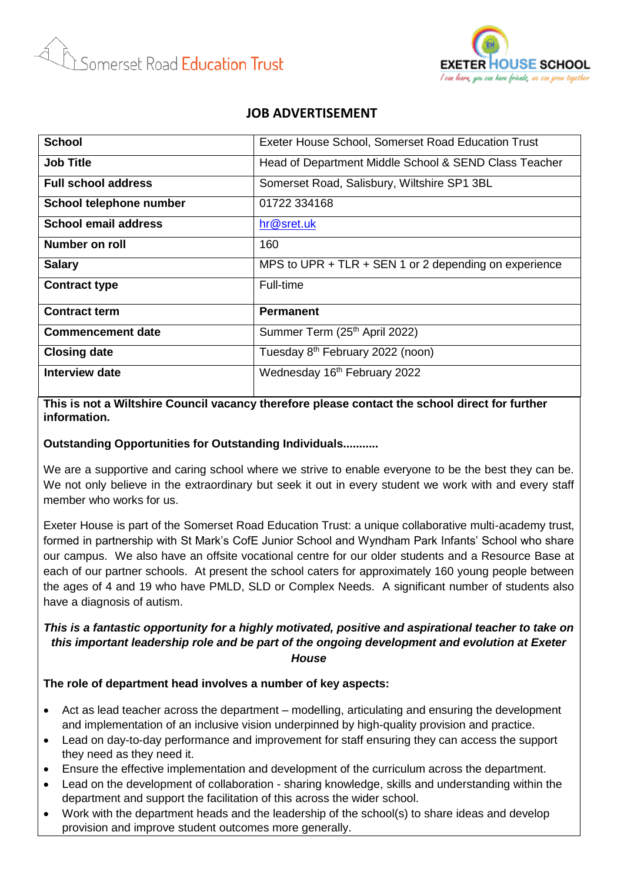



# **JOB ADVERTISEMENT**

| <b>School</b>               | Exeter House School, Somerset Road Education Trust    |
|-----------------------------|-------------------------------------------------------|
| <b>Job Title</b>            | Head of Department Middle School & SEND Class Teacher |
| <b>Full school address</b>  | Somerset Road, Salisbury, Wiltshire SP1 3BL           |
| School telephone number     | 01722 334168                                          |
| <b>School email address</b> | hr@sret.uk                                            |
| Number on roll              | 160                                                   |
| <b>Salary</b>               | MPS to UPR + TLR + SEN 1 or 2 depending on experience |
| <b>Contract type</b>        | Full-time                                             |
| <b>Contract term</b>        | <b>Permanent</b>                                      |
| <b>Commencement date</b>    | Summer Term (25th April 2022)                         |
| <b>Closing date</b>         | Tuesday 8 <sup>th</sup> February 2022 (noon)          |
| Interview date              | Wednesday 16th February 2022                          |

**This is not a Wiltshire Council vacancy therefore please contact the school direct for further information.**

## **Outstanding Opportunities for Outstanding Individuals...........**

We are a supportive and caring school where we strive to enable everyone to be the best they can be. We not only believe in the extraordinary but seek it out in every student we work with and every staff member who works for us.

Exeter House is part of the Somerset Road Education Trust: a unique collaborative multi-academy trust, formed in partnership with St Mark's CofE Junior School and Wyndham Park Infants' School who share our campus. We also have an offsite vocational centre for our older students and a Resource Base at each of our partner schools. At present the school caters for approximately 160 young people between the ages of 4 and 19 who have PMLD, SLD or Complex Needs. A significant number of students also have a diagnosis of autism.

#### *This is a fantastic opportunity for a highly motivated, positive and aspirational teacher to take on this important leadership role and be part of the ongoing development and evolution at Exeter House*

**The role of department head involves a number of key aspects:**

- Act as lead teacher across the department modelling, articulating and ensuring the development and implementation of an inclusive vision underpinned by high-quality provision and practice.
- Lead on day-to-day performance and improvement for staff ensuring they can access the support they need as they need it.
- Ensure the effective implementation and development of the curriculum across the department.
- Lead on the development of collaboration sharing knowledge, skills and understanding within the department and support the facilitation of this across the wider school.
- Work with the department heads and the leadership of the school(s) to share ideas and develop provision and improve student outcomes more generally.